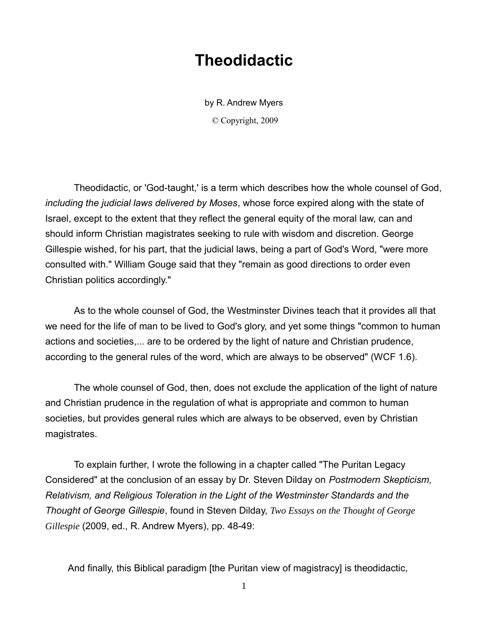## **Theodidactic**

by R. Andrew Myers © Copyright, 2009

Theodidactic, or 'God-taught,' is a term which describes how the whole counsel of God, *including the judicial laws delivered by Moses*, whose force expired along with the state of Israel, except to the extent that they reflect the general equity of the moral law, can and should inform Christian magistrates seeking to rule with wisdom and discretion. George Gillespie wished, for his part, that the judicial laws, being a part of God's Word, "were more consulted with." William Gouge said that they "remain as good directions to order even Christian politics accordingly."

As to the whole counsel of God, the Westminster Divines teach that it provides all that we need for the life of man to be lived to God's glory, and yet some things "common to human actions and societies,... are to be ordered by the light of nature and Christian prudence, according to the general rules of the word, which are always to be observed" (WCF 1.6).

The whole counsel of God, then, does not exclude the application of the light of nature and Christian prudence in the regulation of what is appropriate and common to human societies, but provides general rules which are always to be observed, even by Christian magistrates.

To explain further, I wrote the following in a chapter called "The Puritan Legacy Considered" at the conclusion of an essay by Dr. Steven Dilday on *Postmodern Skepticism, Relativism, and Religious Toleration in the Light of the Westminster Standards and the Thought of George Gillespie*, found in Steven Dilday, *[Two Essays on the Thought of George](http://www.lulu.com/content/paperback-book/two-essays-on-the-thought-of-george-gillespie/5541375)  [Gillespie](http://www.lulu.com/content/paperback-book/two-essays-on-the-thought-of-george-gillespie/5541375)* (2009, ed., R. Andrew Myers), pp. 48-49:

And finally, this Biblical paradigm [the Puritan view of magistracy] is theodidactic,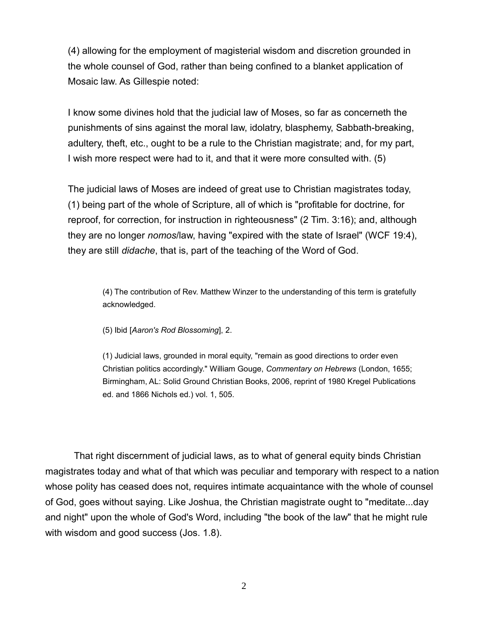(4) allowing for the employment of magisterial wisdom and discretion grounded in the whole counsel of God, rather than being confined to a blanket application of Mosaic law. As Gillespie noted:

I know some divines hold that the judicial law of Moses, so far as concerneth the punishments of sins against the moral law, idolatry, blasphemy, Sabbath-breaking, adultery, theft, etc., ought to be a rule to the Christian magistrate; and, for my part, I wish more respect were had to it, and that it were more consulted with. (5)

The judicial laws of Moses are indeed of great use to Christian magistrates today, (1) being part of the whole of Scripture, all of which is "profitable for doctrine, for reproof, for correction, for instruction in righteousness" (2 Tim. 3:16); and, although they are no longer *nomos*/law, having "expired with the state of Israel" (WCF 19:4), they are still *didache*, that is, part of the teaching of the Word of God.

(4) The contribution of Rev. Matthew Winzer to the understanding of this term is gratefully acknowledged.

(5) Ibid [*Aaron's Rod Blossoming*], 2.

(1) Judicial laws, grounded in moral equity, "remain as good directions to order even Christian politics accordingly." William Gouge, *Commentary on Hebrews* (London, 1655; Birmingham, AL: Solid Ground Christian Books, 2006, reprint of 1980 Kregel Publications ed. and 1866 Nichols ed.) vol. 1, 505.

That right discernment of judicial laws, as to what of general equity binds Christian magistrates today and what of that which was peculiar and temporary with respect to a nation whose polity has ceased does not, requires intimate acquaintance with the whole of counsel of God, goes without saying. Like Joshua, the Christian magistrate ought to "meditate...day and night" upon the whole of God's Word, including "the book of the law" that he might rule with wisdom and good success (Jos. 1.8).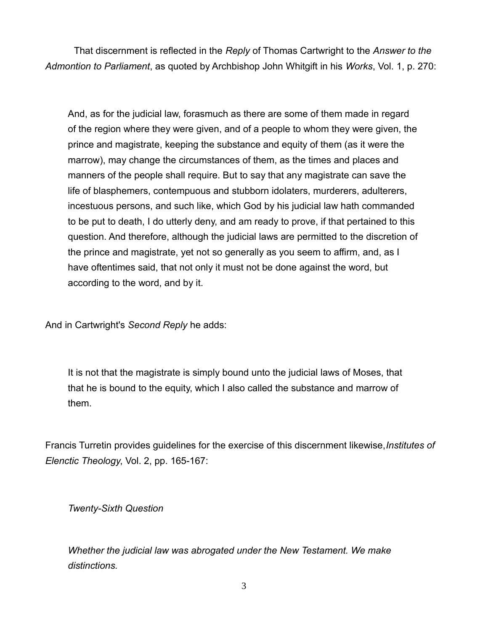That discernment is reflected in the *Reply* of Thomas Cartwright to the *Answer to the Admontion to Parliament*, as quoted by Archbishop John Whitgift in his *Works*, Vol. 1, p. 270:

And, as for the judicial law, forasmuch as there are some of them made in regard of the region where they were given, and of a people to whom they were given, the prince and magistrate, keeping the substance and equity of them (as it were the marrow), may change the circumstances of them, as the times and places and manners of the people shall require. But to say that any magistrate can save the life of blasphemers, contempuous and stubborn idolaters, murderers, adulterers, incestuous persons, and such like, which God by his judicial law hath commanded to be put to death, I do utterly deny, and am ready to prove, if that pertained to this question. And therefore, although the judicial laws are permitted to the discretion of the prince and magistrate, yet not so generally as you seem to affirm, and, as I have oftentimes said, that not only it must not be done against the word, but according to the word, and by it.

And in Cartwright's *Second Reply* he adds:

It is not that the magistrate is simply bound unto the judicial laws of Moses, that that he is bound to the equity, which I also called the substance and marrow of them.

Francis Turretin provides guidelines for the exercise of this discernment likewise,*Institutes of Elenctic Theology*, Vol. 2, pp. 165-167:

*Twenty-Sixth Question*

*Whether the judicial law was abrogated under the New Testament. We make distinctions.*